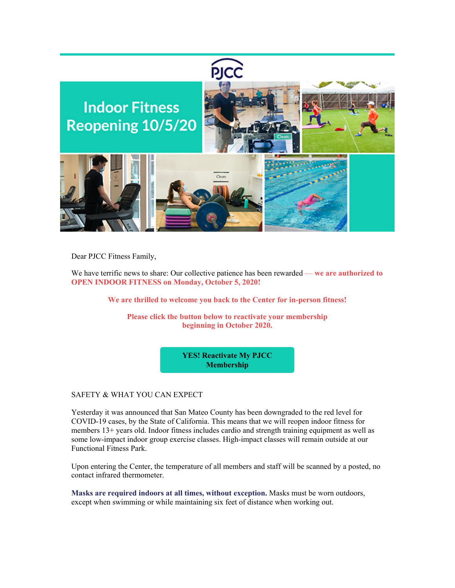

Dear PJCC Fitness Family,

We have terrific news to share: Our collective patience has been rewarded — **we are authorized to OPEN INDOOR FITNESS on Monday, October 5, 2020!**

**We are thrilled to welcome you back to the Center for in-person fitness!**

**Please click the button below to reactivate your membership beginning in October 2020.**

> **[YES! Reactivate My PJCC](https://pjcc.acemlna.com/lt.php?s=c42fd1951155c949e7ef75aacbebeb55&i=346A730A3A3108)  Membership**

## SAFETY & WHAT YOU CAN EXPECT

Yesterday it was announced that San Mateo County has been downgraded to the red level for COVID-19 cases, by the State of California. This means that we will reopen indoor fitness for members 13+ years old. Indoor fitness includes cardio and strength training equipment as well as some low-impact indoor group exercise classes. High-impact classes will remain outside at our Functional Fitness Park.

Upon entering the Center, the temperature of all members and staff will be scanned by a posted, no contact infrared thermometer.

**Masks are required indoors at all times, without exception.** Masks must be worn outdoors, except when swimming or while maintaining six feet of distance when working out.